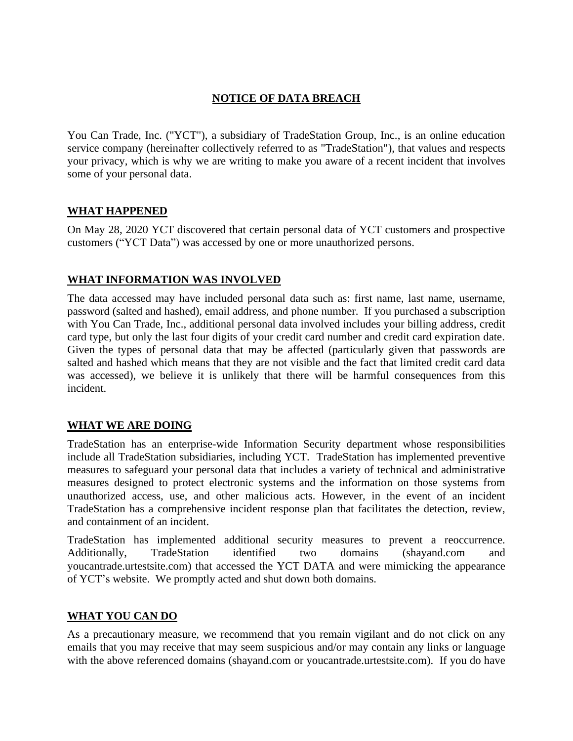# **NOTICE OF DATA BREACH**

You Can Trade, Inc. ("YCT"), a subsidiary of TradeStation Group, Inc., is an online education service company (hereinafter collectively referred to as "TradeStation"), that values and respects your privacy, which is why we are writing to make you aware of a recent incident that involves some of your personal data.

### **WHAT HAPPENED**

On May 28, 2020 YCT discovered that certain personal data of YCT customers and prospective customers ("YCT Data") was accessed by one or more unauthorized persons.

### **WHAT INFORMATION WAS INVOLVED**

The data accessed may have included personal data such as: first name, last name, username, password (salted and hashed), email address, and phone number. If you purchased a subscription with You Can Trade, Inc., additional personal data involved includes your billing address, credit card type, but only the last four digits of your credit card number and credit card expiration date. Given the types of personal data that may be affected (particularly given that passwords are salted and hashed which means that they are not visible and the fact that limited credit card data was accessed), we believe it is unlikely that there will be harmful consequences from this incident.

### **WHAT WE ARE DOING**

TradeStation has an enterprise-wide Information Security department whose responsibilities include all TradeStation subsidiaries, including YCT. TradeStation has implemented preventive measures to safeguard your personal data that includes a variety of technical and administrative measures designed to protect electronic systems and the information on those systems from unauthorized access, use, and other malicious acts. However, in the event of an incident TradeStation has a comprehensive incident response plan that facilitates the detection, review, and containment of an incident.

TradeStation has implemented additional security measures to prevent a reoccurrence. Additionally, TradeStation identified two domains (shayand.com and youcantrade.urtestsite.com) that accessed the YCT DATA and were mimicking the appearance of YCT's website. We promptly acted and shut down both domains.

#### **WHAT YOU CAN DO**

As a precautionary measure, we recommend that you remain vigilant and do not click on any emails that you may receive that may seem suspicious and/or may contain any links or language with the above referenced domains (shayand.com or youcantrade.urtestsite.com). If you do have